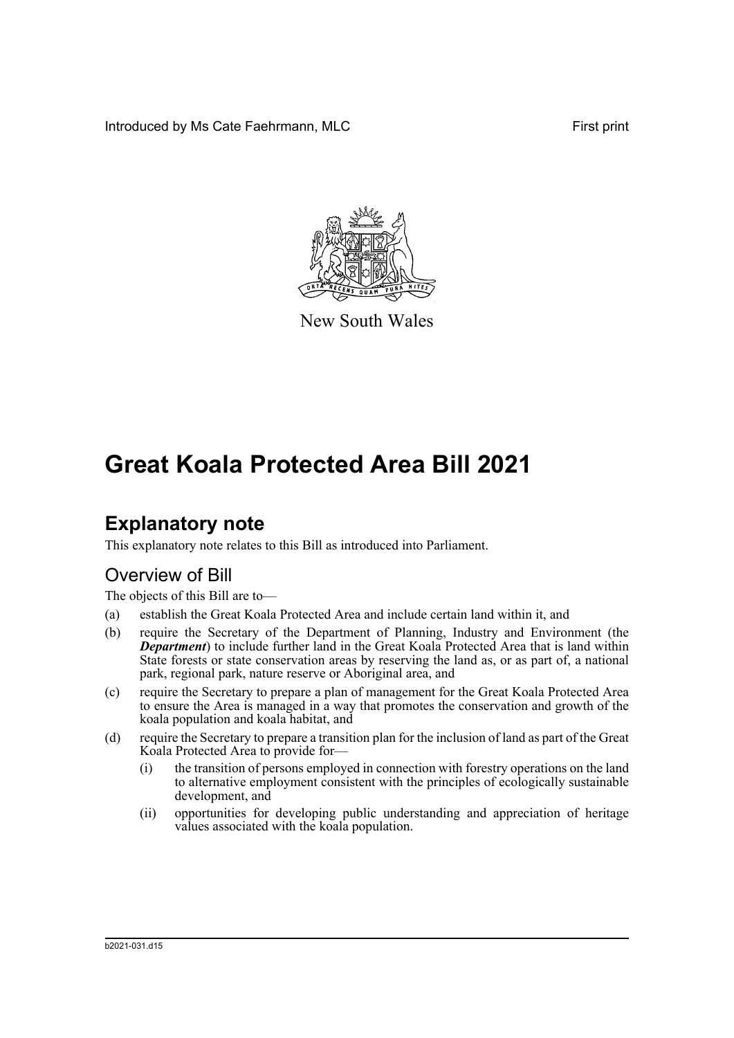Introduced by Ms Cate Faehrmann, MLC **First print** First print



New South Wales

# **Great Koala Protected Area Bill 2021**

# **Explanatory note**

This explanatory note relates to this Bill as introduced into Parliament.

## Overview of Bill

The objects of this Bill are to—

- (a) establish the Great Koala Protected Area and include certain land within it, and
- (b) require the Secretary of the Department of Planning, Industry and Environment (the *Department*) to include further land in the Great Koala Protected Area that is land within State forests or state conservation areas by reserving the land as, or as part of, a national park, regional park, nature reserve or Aboriginal area, and
- (c) require the Secretary to prepare a plan of management for the Great Koala Protected Area to ensure the Area is managed in a way that promotes the conservation and growth of the koala population and koala habitat, and
- (d) require the Secretary to prepare a transition plan for the inclusion of land as part of the Great Koala Protected Area to provide for—
	- (i) the transition of persons employed in connection with forestry operations on the land to alternative employment consistent with the principles of ecologically sustainable development, and
	- (ii) opportunities for developing public understanding and appreciation of heritage values associated with the koala population.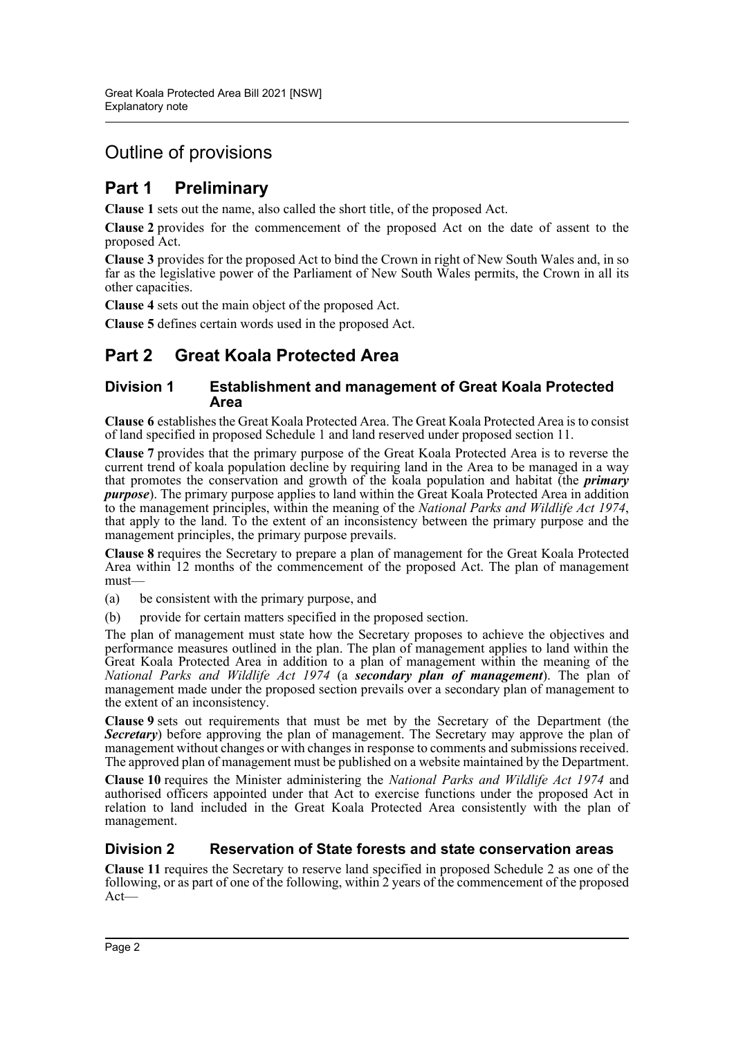## Outline of provisions

## **Part 1 Preliminary**

**Clause 1** sets out the name, also called the short title, of the proposed Act.

**Clause 2** provides for the commencement of the proposed Act on the date of assent to the proposed Act.

**Clause 3** provides for the proposed Act to bind the Crown in right of New South Wales and, in so far as the legislative power of the Parliament of New South Wales permits, the Crown in all its other capacities.

**Clause 4** sets out the main object of the proposed Act.

**Clause 5** defines certain words used in the proposed Act.

### **Part 2 Great Koala Protected Area**

#### **Division 1 Establishment and management of Great Koala Protected Area**

**Clause 6** establishes the Great Koala Protected Area. The Great Koala Protected Area is to consist of land specified in proposed Schedule 1 and land reserved under proposed section 11.

**Clause 7** provides that the primary purpose of the Great Koala Protected Area is to reverse the current trend of koala population decline by requiring land in the Area to be managed in a way that promotes the conservation and growth of the koala population and habitat (the *primary purpose*). The primary purpose applies to land within the Great Koala Protected Area in addition<br>to the management principles, within the meaning of the *National Parks and Wildlife Act 1974*, that apply to the land. To the extent of an inconsistency between the primary purpose and the management principles, the primary purpose prevails.

**Clause 8** requires the Secretary to prepare a plan of management for the Great Koala Protected Area within 12 months of the commencement of the proposed Act. The plan of management must—

(a) be consistent with the primary purpose, and

(b) provide for certain matters specified in the proposed section.

The plan of management must state how the Secretary proposes to achieve the objectives and performance measures outlined in the plan. The plan of management applies to land within the Great Koala Protected Area in addition to a plan of management within the meaning of the *National Parks and Wildlife Act 1974* (a *secondary plan of management*). The plan of management made under the proposed section prevails over a secondary plan of management to the extent of an inconsistency.

**Clause 9** sets out requirements that must be met by the Secretary of the Department (the **Secretary**) before approving the plan of management. The Secretary may approve the plan of management without changes or with changes in response to comments and submissions received. The approved plan of management must be published on a website maintained by the Department.

**Clause 10** requires the Minister administering the *National Parks and Wildlife Act 1974* and authorised officers appointed under that Act to exercise functions under the proposed Act in relation to land included in the Great Koala Protected Area consistently with the plan of management.

#### **Division 2 Reservation of State forests and state conservation areas**

**Clause 11** requires the Secretary to reserve land specified in proposed Schedule 2 as one of the following, or as part of one of the following, within 2 years of the commencement of the proposed Act—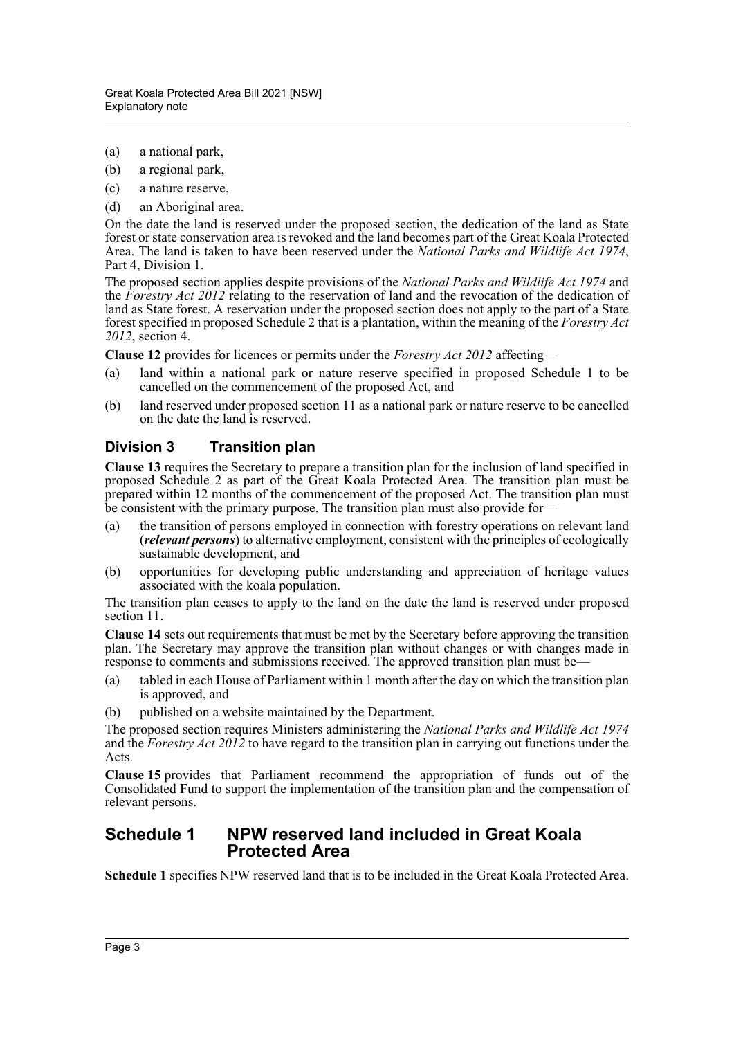- (a) a national park,
- (b) a regional park,
- (c) a nature reserve,
- (d) an Aboriginal area.

On the date the land is reserved under the proposed section, the dedication of the land as State forest or state conservation area is revoked and the land becomes part of the Great Koala Protected Area. The land is taken to have been reserved under the *National Parks and Wildlife Act 1974*, Part 4, Division 1.

The proposed section applies despite provisions of the *National Parks and Wildlife Act 1974* and the *Forestry Act 2012* relating to the reservation of land and the revocation of the dedication of land as State forest. A reservation under the proposed section does not apply to the part of a State forest specified in proposed Schedule 2 that is a plantation, within the meaning of the *Forestry Act 2012*, section 4.

**Clause 12** provides for licences or permits under the *Forestry Act 2012* affecting—

- (a) land within a national park or nature reserve specified in proposed Schedule 1 to be cancelled on the commencement of the proposed Act, and
- (b) land reserved under proposed section 11 as a national park or nature reserve to be cancelled on the date the land is reserved.

#### **Division 3 Transition plan**

**Clause 13** requires the Secretary to prepare a transition plan for the inclusion of land specified in proposed Schedule 2 as part of the Great Koala Protected Area. The transition plan must be prepared within 12 months of the commencement of the proposed Act. The transition plan must be consistent with the primary purpose. The transition plan must also provide for—

- (a) the transition of persons employed in connection with forestry operations on relevant land (*relevant persons*) to alternative employment, consistent with the principles of ecologically sustainable development, and
- (b) opportunities for developing public understanding and appreciation of heritage values associated with the koala population.

The transition plan ceases to apply to the land on the date the land is reserved under proposed section 11.

**Clause 14** sets out requirements that must be met by the Secretary before approving the transition plan. The Secretary may approve the transition plan without changes or with changes made in response to comments and submissions received. The approved transition plan must be—

- (a) tabled in each House of Parliament within 1 month after the day on which the transition plan is approved, and
- (b) published on a website maintained by the Department.

The proposed section requires Ministers administering the *National Parks and Wildlife Act 1974* and the *Forestry Act 2012* to have regard to the transition plan in carrying out functions under the Acts.

**Clause 15** provides that Parliament recommend the appropriation of funds out of the Consolidated Fund to support the implementation of the transition plan and the compensation of relevant persons.

#### **Schedule 1 NPW reserved land included in Great Koala Protected Area**

**Schedule 1** specifies NPW reserved land that is to be included in the Great Koala Protected Area.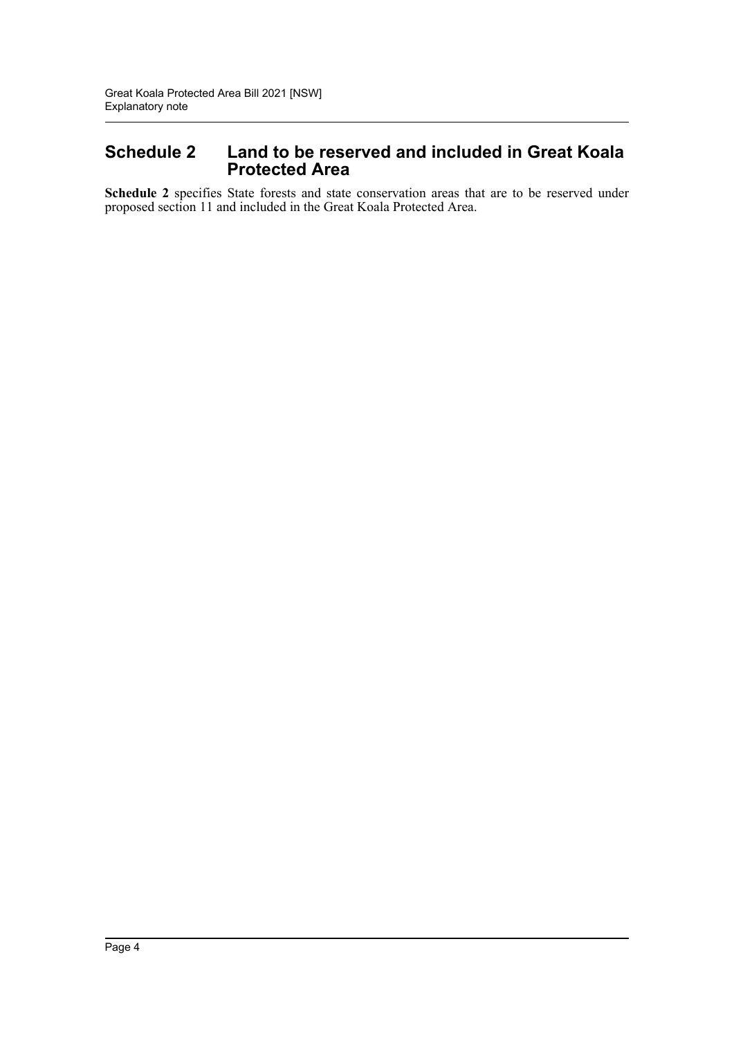#### **Schedule 2 Land to be reserved and included in Great Koala Protected Area**

**Schedule 2** specifies State forests and state conservation areas that are to be reserved under proposed section 11 and included in the Great Koala Protected Area.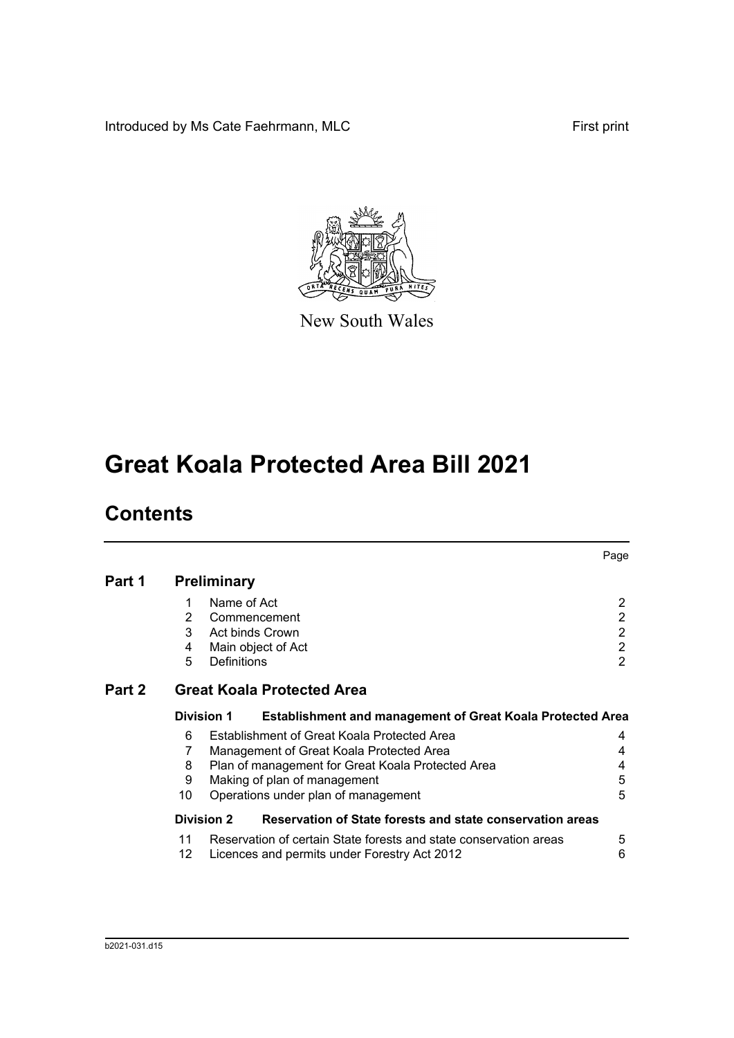Introduced by Ms Cate Faehrmann, MLC First print



New South Wales

# **Great Koala Protected Area Bill 2021**

# **Contents**

|        |                                   |                                                                                        | Page           |  |  |
|--------|-----------------------------------|----------------------------------------------------------------------------------------|----------------|--|--|
| Part 1 |                                   | <b>Preliminary</b>                                                                     |                |  |  |
|        |                                   | Name of Act                                                                            | 2              |  |  |
|        | 2                                 | Commencement                                                                           | 2              |  |  |
|        | 3                                 | <b>Act binds Crown</b>                                                                 | 2              |  |  |
|        | 4                                 | Main object of Act                                                                     | 2              |  |  |
|        | 5                                 | <b>Definitions</b>                                                                     | $\overline{2}$ |  |  |
| Part 2 | <b>Great Koala Protected Area</b> |                                                                                        |                |  |  |
|        |                                   | <b>Division 1</b><br><b>Establishment and management of Great Koala Protected Area</b> |                |  |  |
|        | 6                                 | Establishment of Great Koala Protected Area                                            | 4              |  |  |
|        | 7                                 | Management of Great Koala Protected Area                                               | 4              |  |  |
|        | 8                                 | Plan of management for Great Koala Protected Area                                      | 4              |  |  |
|        | 9                                 | Making of plan of management                                                           | 5              |  |  |
|        | 10                                | Operations under plan of management                                                    | 5              |  |  |
|        |                                   | Reservation of State forests and state conservation areas<br><b>Division 2</b>         |                |  |  |
|        | 11                                | Reservation of certain State forests and state conservation areas                      | 5              |  |  |
|        | 12                                | Licences and permits under Forestry Act 2012                                           | 6              |  |  |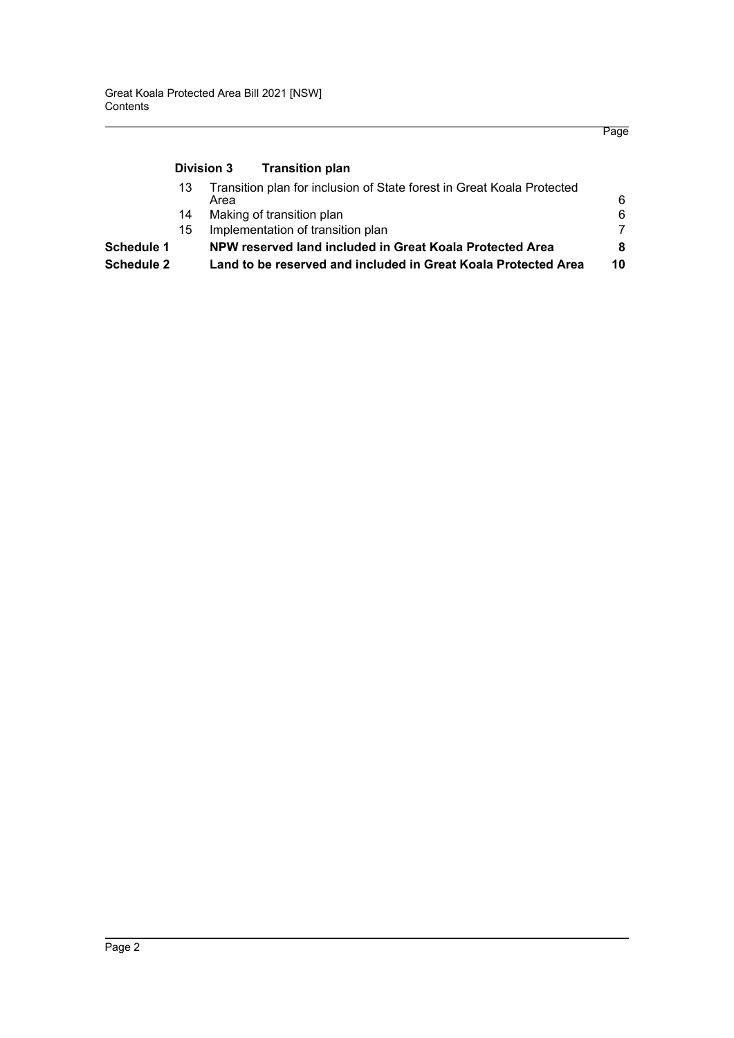#### **[Division 3 Transition plan](#page-11-1)** [13 Transition plan for inclusion of State forest in Great Koala Protected](#page-11-2)  [Area 6](#page-11-2)6, and the contract of the contract of the contract of the contract of the contract of the contract of the contract of the contract of the contract of the contract of the contract of the contract of the contract of t [14 Making of transition plan 6](#page-11-3) 15 Implementation of transition plan **[Schedule 1 NPW reserved land included in Great Koala Protected Area 8](#page-13-0) [Schedule 2 Land to be reserved and included in Great Koala Protected Area 10](#page-15-0)**

Page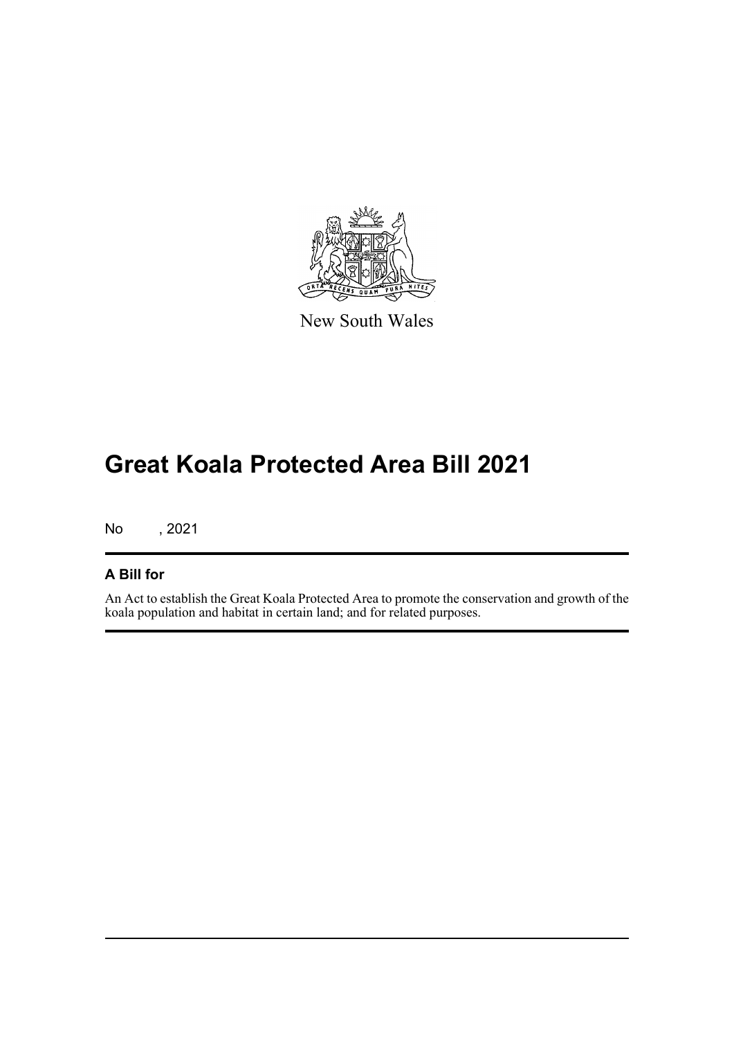

New South Wales

# **Great Koala Protected Area Bill 2021**

No , 2021

#### **A Bill for**

An Act to establish the Great Koala Protected Area to promote the conservation and growth of the koala population and habitat in certain land; and for related purposes.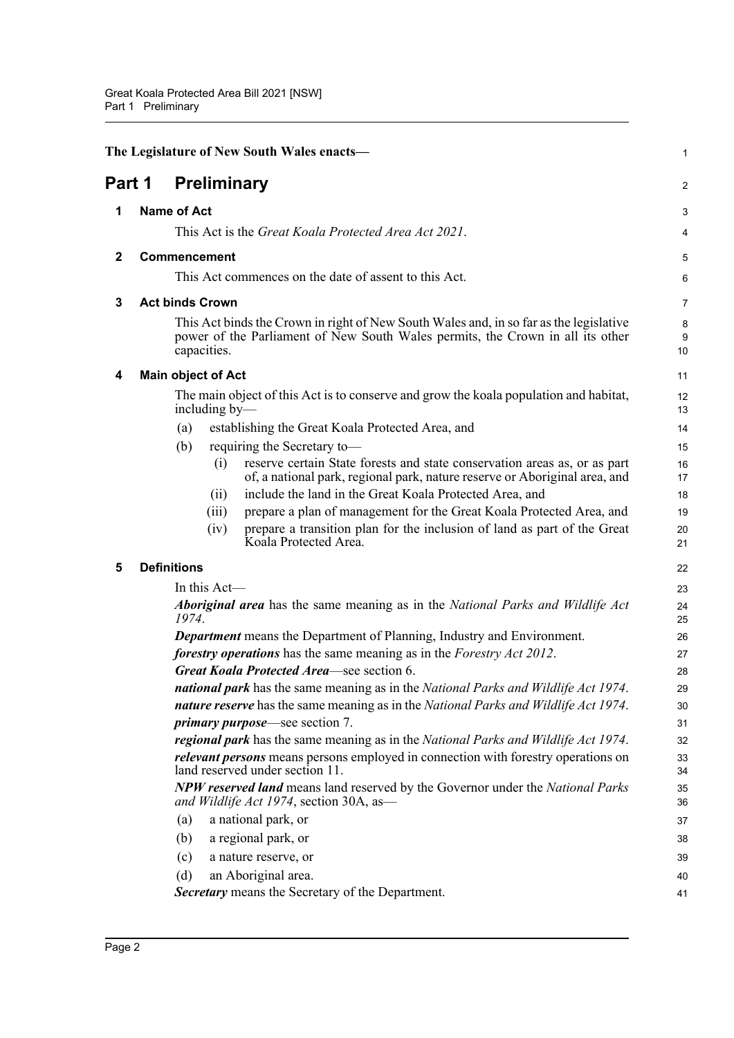<span id="page-7-5"></span><span id="page-7-4"></span><span id="page-7-3"></span><span id="page-7-2"></span><span id="page-7-1"></span><span id="page-7-0"></span>

|              | The Legislature of New South Wales enacts-                                                                                                                                                                                | 1              |
|--------------|---------------------------------------------------------------------------------------------------------------------------------------------------------------------------------------------------------------------------|----------------|
| Part 1       | <b>Preliminary</b>                                                                                                                                                                                                        | $\overline{a}$ |
| 1            | <b>Name of Act</b>                                                                                                                                                                                                        | 3              |
|              | This Act is the <i>Great Koala Protected Area Act 2021</i> .                                                                                                                                                              | 4              |
| $\mathbf{2}$ | Commencement                                                                                                                                                                                                              | 5              |
|              | This Act commences on the date of assent to this Act.                                                                                                                                                                     | 6              |
| 3            | <b>Act binds Crown</b>                                                                                                                                                                                                    | 7              |
|              | This Act binds the Crown in right of New South Wales and, in so far as the legislative<br>power of the Parliament of New South Wales permits, the Crown in all its other<br>capacities.                                   | 8<br>9<br>10   |
| 4            | <b>Main object of Act</b>                                                                                                                                                                                                 | 11             |
|              | The main object of this Act is to conserve and grow the koala population and habitat,<br>including by-                                                                                                                    | 12<br>13       |
|              | establishing the Great Koala Protected Area, and<br>(a)                                                                                                                                                                   | 14             |
|              | (b)<br>requiring the Secretary to-                                                                                                                                                                                        | 15             |
|              | reserve certain State forests and state conservation areas as, or as part<br>(i)<br>of, a national park, regional park, nature reserve or Aboriginal area, and<br>include the land in the Great Koala Protected Area, and | 16<br>17<br>18 |
|              | (11)<br>prepare a plan of management for the Great Koala Protected Area, and<br>(iii)                                                                                                                                     | 19             |
|              | prepare a transition plan for the inclusion of land as part of the Great<br>(iv)<br>Koala Protected Area.                                                                                                                 | 20<br>21       |
| 5            | <b>Definitions</b>                                                                                                                                                                                                        | 22             |
|              | In this $Act$ —                                                                                                                                                                                                           | 23             |
|              | <b>Aboriginal area</b> has the same meaning as in the National Parks and Wildlife Act<br>1974.                                                                                                                            | 24<br>25       |
|              | <b>Department</b> means the Department of Planning, Industry and Environment.                                                                                                                                             | 26             |
|              | forestry operations has the same meaning as in the Forestry Act 2012.                                                                                                                                                     | 27             |
|              | Great Koala Protected Area-see section 6.<br>national park has the same meaning as in the National Parks and Wildlife Act 1974.                                                                                           | 28             |
|              | nature reserve has the same meaning as in the National Parks and Wildlife Act 1974.                                                                                                                                       | 29<br>30       |
|              | <i>primary purpose</i> —see section 7.                                                                                                                                                                                    | 31             |
|              | regional park has the same meaning as in the National Parks and Wildlife Act 1974.                                                                                                                                        | 32             |
|              | relevant persons means persons employed in connection with forestry operations on<br>land reserved under section 11.                                                                                                      | 33<br>34       |
|              | <b>NPW reserved land</b> means land reserved by the Governor under the National Parks<br>and Wildlife Act 1974, section 30A, as-                                                                                          | 35<br>36       |
|              | a national park, or<br>(a)                                                                                                                                                                                                | 37             |
|              | (b)<br>a regional park, or                                                                                                                                                                                                | 38             |
|              | (c)<br>a nature reserve, or                                                                                                                                                                                               | 39             |
|              | an Aboriginal area.<br>(d)                                                                                                                                                                                                | 40             |
|              | Secretary means the Secretary of the Department.                                                                                                                                                                          | 41             |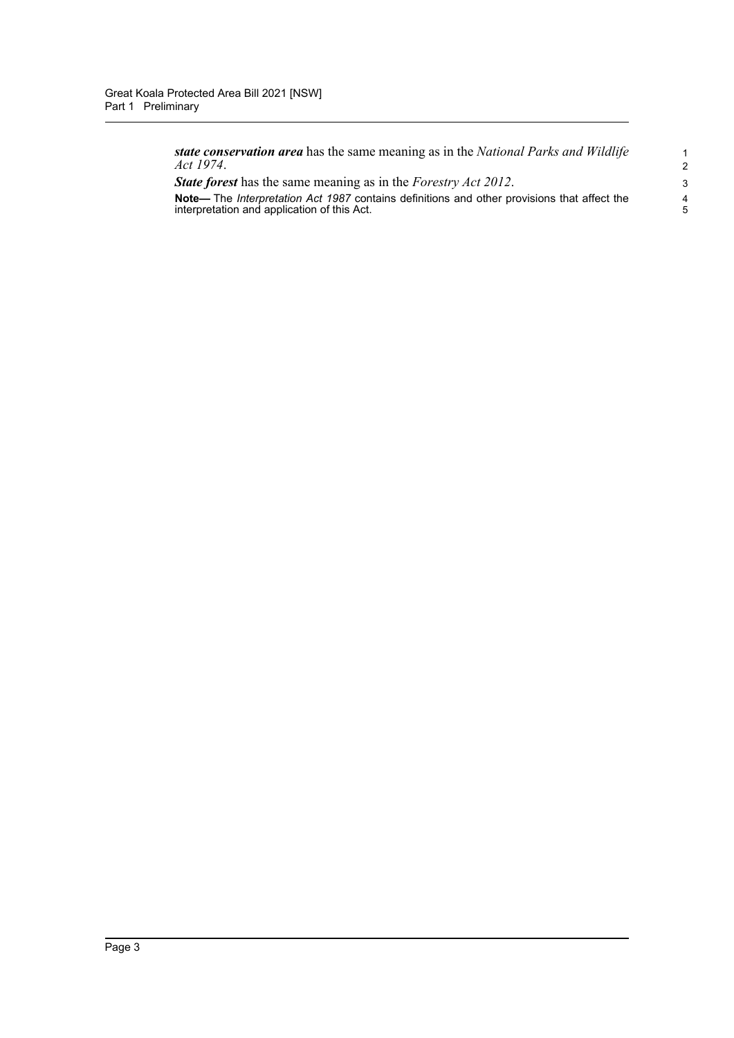*state conservation area* has the same meaning as in the *National Parks and Wildlife Act 1974*.

*State forest* has the same meaning as in the *Forestry Act 2012*.

**Note—** The *Interpretation Act 1987* contains definitions and other provisions that affect the interpretation and application of this Act.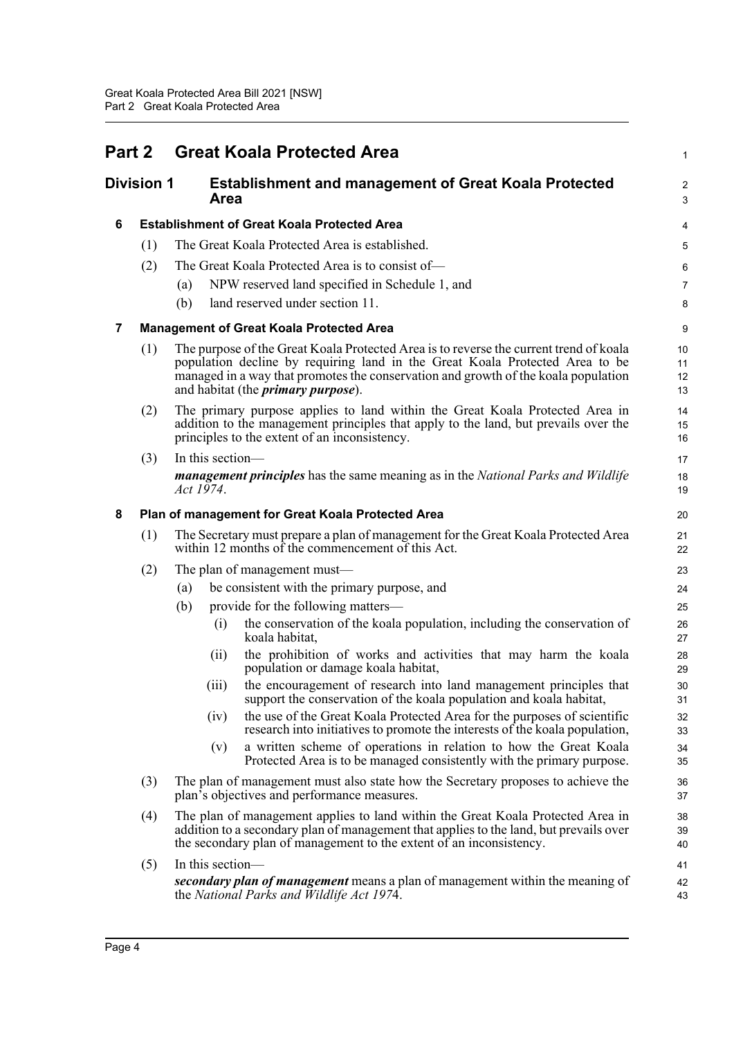<span id="page-9-4"></span><span id="page-9-3"></span><span id="page-9-2"></span><span id="page-9-1"></span><span id="page-9-0"></span>

| Part 2<br><b>Division 1</b> |     | <b>Great Koala Protected Area</b>                                                                                                                                                                                                                                                                          |                      |  |  |  |
|-----------------------------|-----|------------------------------------------------------------------------------------------------------------------------------------------------------------------------------------------------------------------------------------------------------------------------------------------------------------|----------------------|--|--|--|
|                             |     | <b>Establishment and management of Great Koala Protected</b><br><b>Area</b>                                                                                                                                                                                                                                |                      |  |  |  |
| 6                           |     | <b>Establishment of Great Koala Protected Area</b>                                                                                                                                                                                                                                                         | 4                    |  |  |  |
|                             | (1) | The Great Koala Protected Area is established.                                                                                                                                                                                                                                                             | 5                    |  |  |  |
|                             | (2) | The Great Koala Protected Area is to consist of-                                                                                                                                                                                                                                                           | 6                    |  |  |  |
|                             |     | NPW reserved land specified in Schedule 1, and<br>(a)                                                                                                                                                                                                                                                      | 7                    |  |  |  |
|                             |     | land reserved under section 11.<br>(b)                                                                                                                                                                                                                                                                     | 8                    |  |  |  |
| 7                           |     | <b>Management of Great Koala Protected Area</b>                                                                                                                                                                                                                                                            | 9                    |  |  |  |
|                             | (1) | The purpose of the Great Koala Protected Area is to reverse the current trend of koala<br>population decline by requiring land in the Great Koala Protected Area to be<br>managed in a way that promotes the conservation and growth of the koala population<br>and habitat (the <i>primary purpose</i> ). | 10<br>11<br>12<br>13 |  |  |  |
|                             | (2) | The primary purpose applies to land within the Great Koala Protected Area in<br>addition to the management principles that apply to the land, but prevails over the<br>principles to the extent of an inconsistency.                                                                                       | 14<br>15<br>16       |  |  |  |
|                             | (3) | In this section-<br><b><i>management principles</i></b> has the same meaning as in the <i>National Parks and Wildlife</i><br>Act 1974.                                                                                                                                                                     | 17<br>18<br>19       |  |  |  |
| 8                           |     | Plan of management for Great Koala Protected Area                                                                                                                                                                                                                                                          | 20                   |  |  |  |
|                             | (1) | The Secretary must prepare a plan of management for the Great Koala Protected Area<br>within 12 months of the commencement of this Act.                                                                                                                                                                    | 21<br>22             |  |  |  |
|                             | (2) | The plan of management must—                                                                                                                                                                                                                                                                               | 23                   |  |  |  |
|                             |     | be consistent with the primary purpose, and<br>(a)                                                                                                                                                                                                                                                         | 24                   |  |  |  |
|                             |     | provide for the following matters—<br>(b)                                                                                                                                                                                                                                                                  | 25                   |  |  |  |
|                             |     | the conservation of the koala population, including the conservation of<br>(i)<br>koala habitat,                                                                                                                                                                                                           | 26<br>27             |  |  |  |
|                             |     | the prohibition of works and activities that may harm the koala<br>(ii)<br>population or damage koala habitat,                                                                                                                                                                                             | 28<br>29             |  |  |  |
|                             |     | the encouragement of research into land management principles that<br>(111)<br>support the conservation of the koala population and koala habitat,                                                                                                                                                         | 30<br>31             |  |  |  |
|                             |     | the use of the Great Koala Protected Area for the purposes of scientific<br>(iv)<br>research into initiatives to promote the interests of the koala population,                                                                                                                                            | 32<br>33             |  |  |  |
|                             |     | a written scheme of operations in relation to how the Great Koala<br>(v)<br>Protected Area is to be managed consistently with the primary purpose.                                                                                                                                                         | 34<br>35             |  |  |  |
|                             | (3) | The plan of management must also state how the Secretary proposes to achieve the<br>plan's objectives and performance measures.                                                                                                                                                                            | 36<br>37             |  |  |  |
|                             | (4) | The plan of management applies to land within the Great Koala Protected Area in<br>addition to a secondary plan of management that applies to the land, but prevails over<br>the secondary plan of management to the extent of an inconsistency.                                                           | 38<br>39<br>40       |  |  |  |
|                             | (5) | In this section-                                                                                                                                                                                                                                                                                           | 41                   |  |  |  |
|                             |     | secondary plan of management means a plan of management within the meaning of<br>the National Parks and Wildlife Act 1974.                                                                                                                                                                                 | 42<br>43             |  |  |  |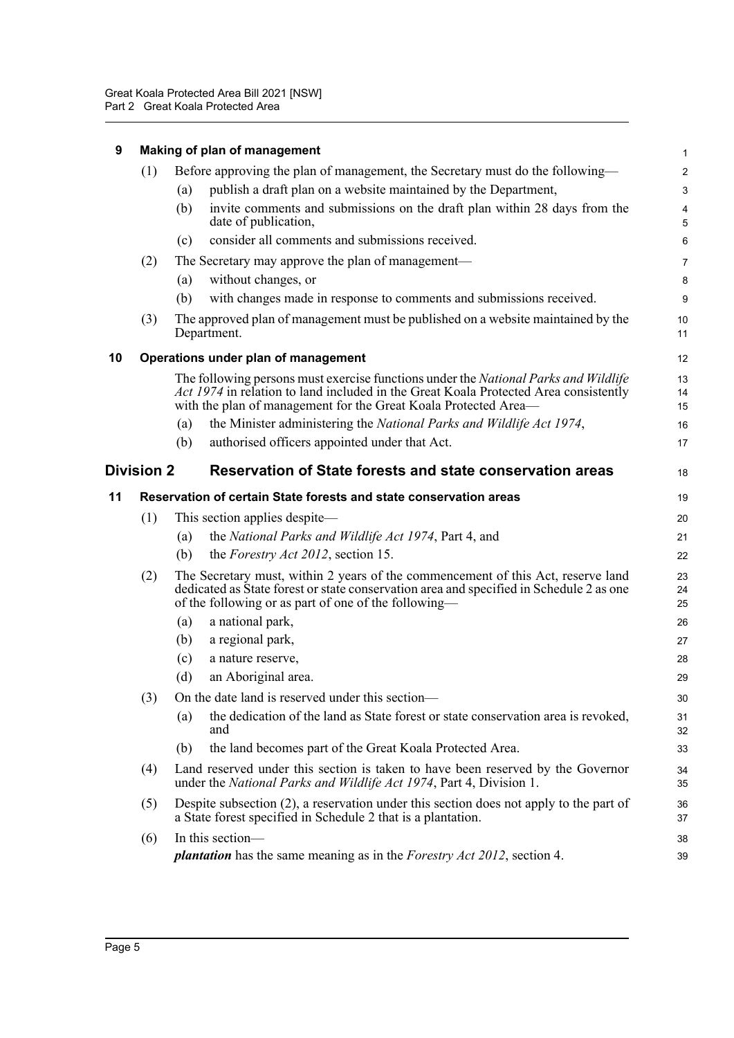<span id="page-10-3"></span><span id="page-10-2"></span><span id="page-10-1"></span><span id="page-10-0"></span>

|    | Making of plan of management |                                                                                                                                                                                                                                                       |                         |
|----|------------------------------|-------------------------------------------------------------------------------------------------------------------------------------------------------------------------------------------------------------------------------------------------------|-------------------------|
|    | (1)                          | Before approving the plan of management, the Secretary must do the following—                                                                                                                                                                         | $\overline{\mathbf{c}}$ |
|    |                              | publish a draft plan on a website maintained by the Department,<br>(a)                                                                                                                                                                                | 3                       |
|    |                              | invite comments and submissions on the draft plan within 28 days from the<br>(b)<br>date of publication,                                                                                                                                              | 4<br>5                  |
|    |                              | consider all comments and submissions received.<br>(c)                                                                                                                                                                                                | 6                       |
|    | (2)                          | The Secretary may approve the plan of management—                                                                                                                                                                                                     | 7                       |
|    |                              | without changes, or<br>(a)                                                                                                                                                                                                                            | 8                       |
|    |                              | (b)<br>with changes made in response to comments and submissions received.                                                                                                                                                                            | 9                       |
|    | (3)                          | The approved plan of management must be published on a website maintained by the<br>Department.                                                                                                                                                       | 10<br>11                |
| 10 |                              | Operations under plan of management                                                                                                                                                                                                                   | 12                      |
|    |                              | The following persons must exercise functions under the <i>National Parks and Wildlife</i><br>Act 1974 in relation to land included in the Great Koala Protected Area consistently<br>with the plan of management for the Great Koala Protected Area- | 13<br>14<br>15          |
|    |                              | the Minister administering the National Parks and Wildlife Act 1974,<br>(a)                                                                                                                                                                           | 16                      |
|    |                              | authorised officers appointed under that Act.<br>(b)                                                                                                                                                                                                  | 17                      |
|    | <b>Division 2</b>            | Reservation of State forests and state conservation areas                                                                                                                                                                                             | 18                      |
| 11 |                              | Reservation of certain State forests and state conservation areas                                                                                                                                                                                     | 19                      |
|    | (1)                          | This section applies despite—                                                                                                                                                                                                                         | 20                      |
|    |                              | the National Parks and Wildlife Act 1974, Part 4, and<br>(a)                                                                                                                                                                                          | 21                      |
|    |                              | the <i>Forestry Act 2012</i> , section 15.<br>(b)                                                                                                                                                                                                     | 22                      |
|    | (2)                          | The Secretary must, within 2 years of the commencement of this Act, reserve land<br>dedicated as State forest or state conservation area and specified in Schedule 2 as one<br>of the following or as part of one of the following-                   | 23<br>24<br>25          |
|    |                              | a national park,<br>(a)                                                                                                                                                                                                                               | 26                      |
|    |                              | a regional park,<br>(b)                                                                                                                                                                                                                               | 27                      |
|    |                              | (c)<br>a nature reserve,                                                                                                                                                                                                                              | 28                      |
|    |                              | (d)<br>an Aboriginal area.                                                                                                                                                                                                                            | 29                      |
|    | (3)                          | On the date land is reserved under this section-                                                                                                                                                                                                      | 30                      |
|    |                              | the dedication of the land as State forest or state conservation area is revoked,<br>(a)<br>and                                                                                                                                                       | 31<br>32                |
|    |                              | the land becomes part of the Great Koala Protected Area.<br>(b)                                                                                                                                                                                       | 33                      |
|    | (4)                          | Land reserved under this section is taken to have been reserved by the Governor<br>under the National Parks and Wildlife Act 1974, Part 4, Division 1.                                                                                                | 34<br>35                |
|    | (5)                          |                                                                                                                                                                                                                                                       | 36                      |
|    |                              | Despite subsection (2), a reservation under this section does not apply to the part of<br>a State forest specified in Schedule 2 that is a plantation.                                                                                                | 37                      |
|    | (6)                          | In this section-                                                                                                                                                                                                                                      | 38                      |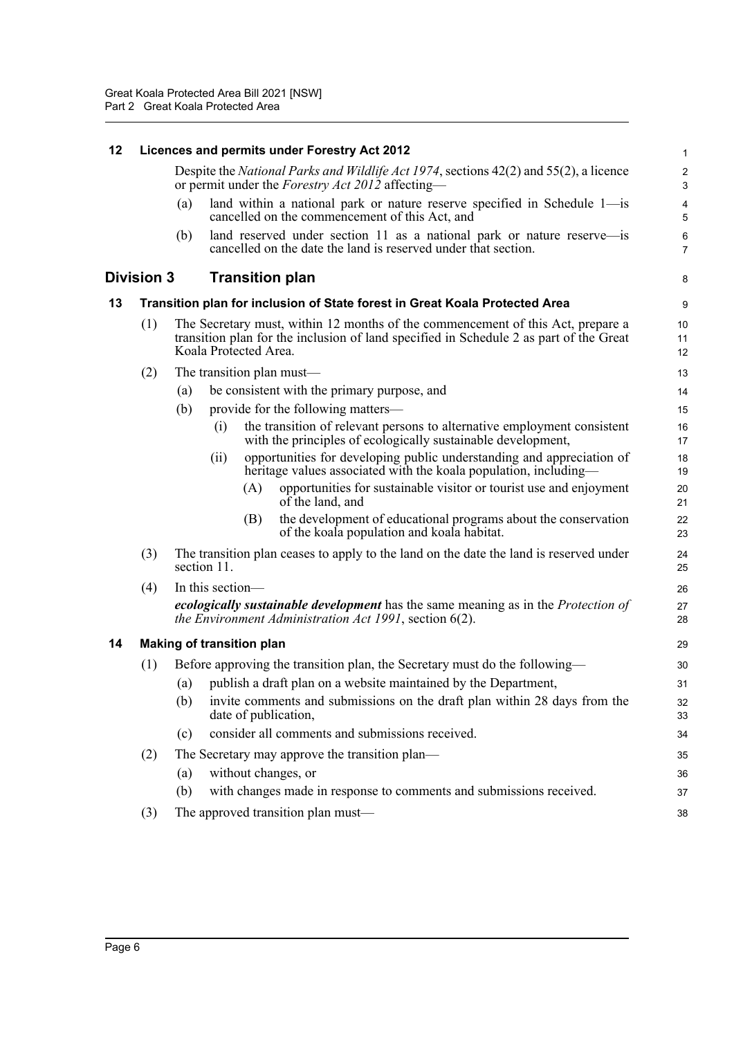<span id="page-11-3"></span><span id="page-11-2"></span><span id="page-11-1"></span><span id="page-11-0"></span>

| 12 |                   |     | Licences and permits under Forestry Act 2012                                                                                                                                                       | 1                                     |
|----|-------------------|-----|----------------------------------------------------------------------------------------------------------------------------------------------------------------------------------------------------|---------------------------------------|
|    |                   |     | Despite the <i>National Parks and Wildlife Act 1974</i> , sections 42(2) and 55(2), a licence<br>or permit under the <i>Forestry Act 2012</i> affecting—                                           | $\sqrt{2}$<br>$\sqrt{3}$              |
|    |                   | (a) | land within a national park or nature reserve specified in Schedule $1$ —is<br>cancelled on the commencement of this Act, and                                                                      | $\overline{\mathbf{4}}$<br>$\sqrt{5}$ |
|    |                   | (b) | land reserved under section 11 as a national park or nature reserve—is<br>cancelled on the date the land is reserved under that section.                                                           | $\,6\,$<br>$\overline{7}$             |
|    | <b>Division 3</b> |     | <b>Transition plan</b>                                                                                                                                                                             | 8                                     |
| 13 |                   |     | Transition plan for inclusion of State forest in Great Koala Protected Area                                                                                                                        | $\boldsymbol{9}$                      |
|    | (1)               |     | The Secretary must, within 12 months of the commencement of this Act, prepare a<br>transition plan for the inclusion of land specified in Schedule 2 as part of the Great<br>Koala Protected Area. | 10<br>11<br>12                        |
|    | (2)               |     | The transition plan must—                                                                                                                                                                          | 13                                    |
|    |                   | (a) | be consistent with the primary purpose, and                                                                                                                                                        | 14                                    |
|    |                   | (b) | provide for the following matters—                                                                                                                                                                 | 15                                    |
|    |                   |     | the transition of relevant persons to alternative employment consistent<br>(i)<br>with the principles of ecologically sustainable development,                                                     | 16<br>17                              |
|    |                   |     | opportunities for developing public understanding and appreciation of<br>(ii)<br>heritage values associated with the koala population, including—                                                  | 18<br>19                              |
|    |                   |     | opportunities for sustainable visitor or tourist use and enjoyment<br>(A)<br>of the land, and                                                                                                      | 20<br>21                              |
|    |                   |     | the development of educational programs about the conservation<br>(B)<br>of the koala population and koala habitat.                                                                                | 22<br>23                              |
|    | (3)               |     | The transition plan ceases to apply to the land on the date the land is reserved under<br>section 11.                                                                                              | 24<br>25                              |
|    | (4)               |     | In this section-                                                                                                                                                                                   | 26                                    |
|    |                   |     | <i>ecologically sustainable development</i> has the same meaning as in the <i>Protection of</i><br><i>the Environment Administration Act 1991</i> , section 6(2).                                  | 27<br>28                              |
| 14 |                   |     | <b>Making of transition plan</b>                                                                                                                                                                   | 29                                    |
|    | (1)               |     | Before approving the transition plan, the Secretary must do the following—                                                                                                                         | 30                                    |
|    |                   | (a) | publish a draft plan on a website maintained by the Department,                                                                                                                                    | 31                                    |
|    |                   | (b) | invite comments and submissions on the draft plan within 28 days from the<br>date of publication,                                                                                                  | 32<br>33                              |
|    |                   | (c) | consider all comments and submissions received.                                                                                                                                                    | 34                                    |
|    | (2)               |     | The Secretary may approve the transition plan—                                                                                                                                                     | 35                                    |
|    |                   | (a) | without changes, or                                                                                                                                                                                | 36                                    |
|    |                   | (b) | with changes made in response to comments and submissions received.                                                                                                                                | 37                                    |
|    | (3)               |     | The approved transition plan must-                                                                                                                                                                 | 38                                    |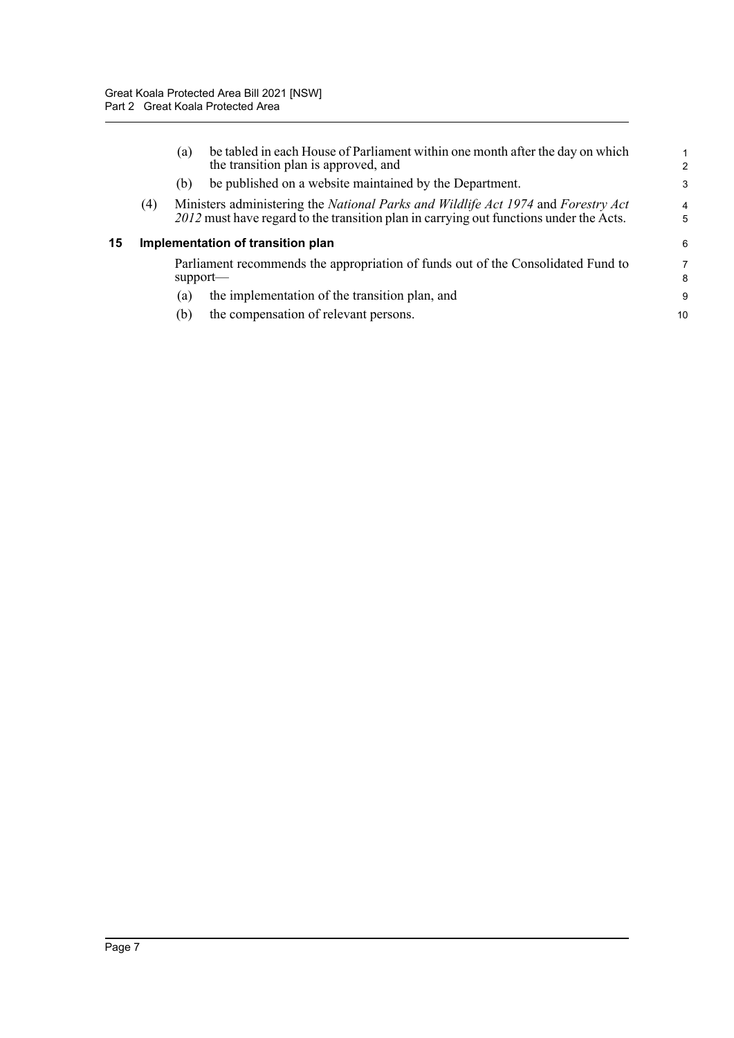<span id="page-12-0"></span>

|    |                                   | (a) | be tabled in each House of Parliament within one month after the day on which<br>the transition plan is approved, and                                                       | $\mathfrak{p}$      |  |
|----|-----------------------------------|-----|-----------------------------------------------------------------------------------------------------------------------------------------------------------------------------|---------------------|--|
|    |                                   | (b) | be published on a website maintained by the Department.                                                                                                                     | 3                   |  |
|    | (4)                               |     | Ministers administering the National Parks and Wildlife Act 1974 and Forestry Act<br>2012 must have regard to the transition plan in carrying out functions under the Acts. | $\overline{4}$<br>5 |  |
| 15 | Implementation of transition plan |     |                                                                                                                                                                             |                     |  |
|    |                                   |     | Parliament recommends the appropriation of funds out of the Consolidated Fund to<br>$support-$                                                                              | 7<br>8              |  |
|    |                                   | (a) | the implementation of the transition plan, and                                                                                                                              | 9                   |  |
|    |                                   | (b) | the compensation of relevant persons.                                                                                                                                       | 10                  |  |
|    |                                   |     |                                                                                                                                                                             |                     |  |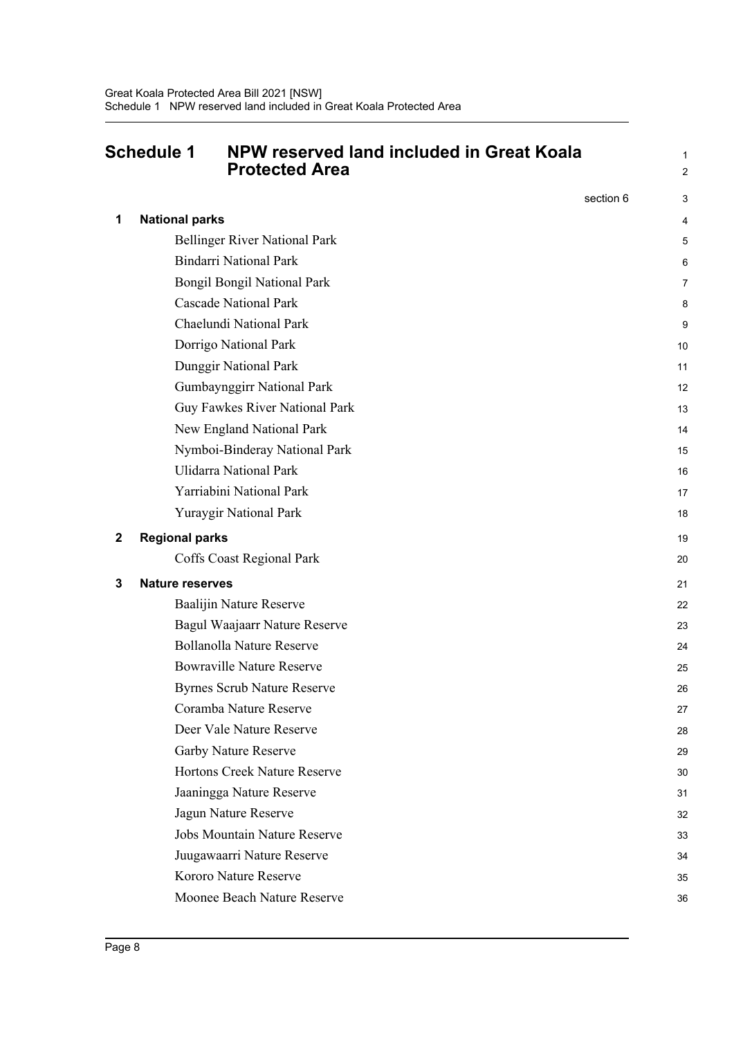### <span id="page-13-0"></span>**Schedule 1 NPW reserved land included in Great Koala Protected Area**

1 2

|   |                                      | section 6 | 3  |
|---|--------------------------------------|-----------|----|
| 1 | <b>National parks</b>                |           | 4  |
|   | <b>Bellinger River National Park</b> |           | 5  |
|   | <b>Bindarri National Park</b>        |           | 6  |
|   | <b>Bongil Bongil National Park</b>   |           | 7  |
|   | <b>Cascade National Park</b>         |           | 8  |
|   | Chaelundi National Park              |           | 9  |
|   | Dorrigo National Park                |           | 10 |
|   | Dunggir National Park                |           | 11 |
|   | Gumbaynggirr National Park           |           | 12 |
|   | Guy Fawkes River National Park       |           | 13 |
|   | New England National Park            |           | 14 |
|   | Nymboi-Binderay National Park        |           | 15 |
|   | <b>Ulidarra National Park</b>        |           | 16 |
|   | Yarriabini National Park             |           | 17 |
|   | Yuraygir National Park               |           | 18 |
| 2 | <b>Regional parks</b>                |           | 19 |
|   | Coffs Coast Regional Park            |           | 20 |
| 3 | <b>Nature reserves</b>               |           | 21 |
|   | Baalijin Nature Reserve              |           | 22 |
|   | Bagul Waajaarr Nature Reserve        |           | 23 |
|   | <b>Bollanolla Nature Reserve</b>     |           | 24 |
|   | <b>Bowraville Nature Reserve</b>     |           | 25 |
|   | <b>Byrnes Scrub Nature Reserve</b>   |           | 26 |
|   | Coramba Nature Reserve               |           | 27 |
|   | Deer Vale Nature Reserve             |           | 28 |
|   | Garby Nature Reserve                 |           | 29 |
|   | Hortons Creek Nature Reserve         |           | 30 |
|   | Jaaningga Nature Reserve             |           | 31 |
|   | Jagun Nature Reserve                 |           | 32 |
|   | <b>Jobs Mountain Nature Reserve</b>  |           | 33 |
|   | Juugawaarri Nature Reserve           |           | 34 |
|   | Kororo Nature Reserve                |           | 35 |
|   | Moonee Beach Nature Reserve          |           | 36 |
|   |                                      |           |    |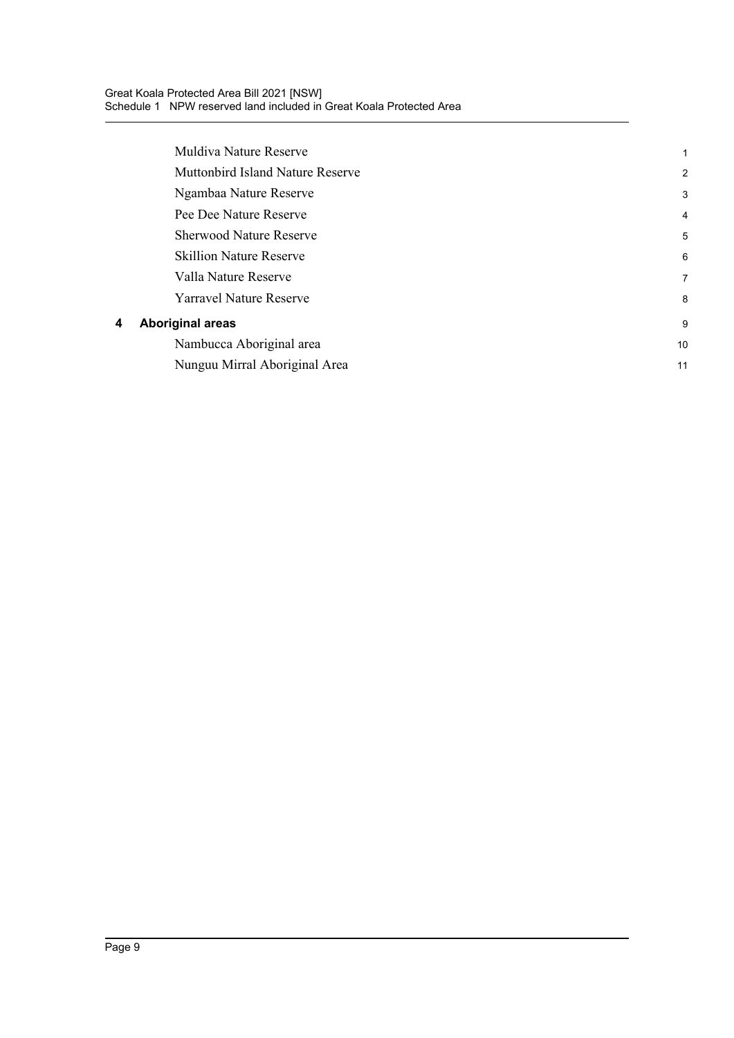| 1              |
|----------------|
| 2              |
| 3              |
| $\overline{4}$ |
| 5              |
| 6              |
| $\overline{7}$ |
| 8              |
| 9              |
| 10             |
| 11             |
|                |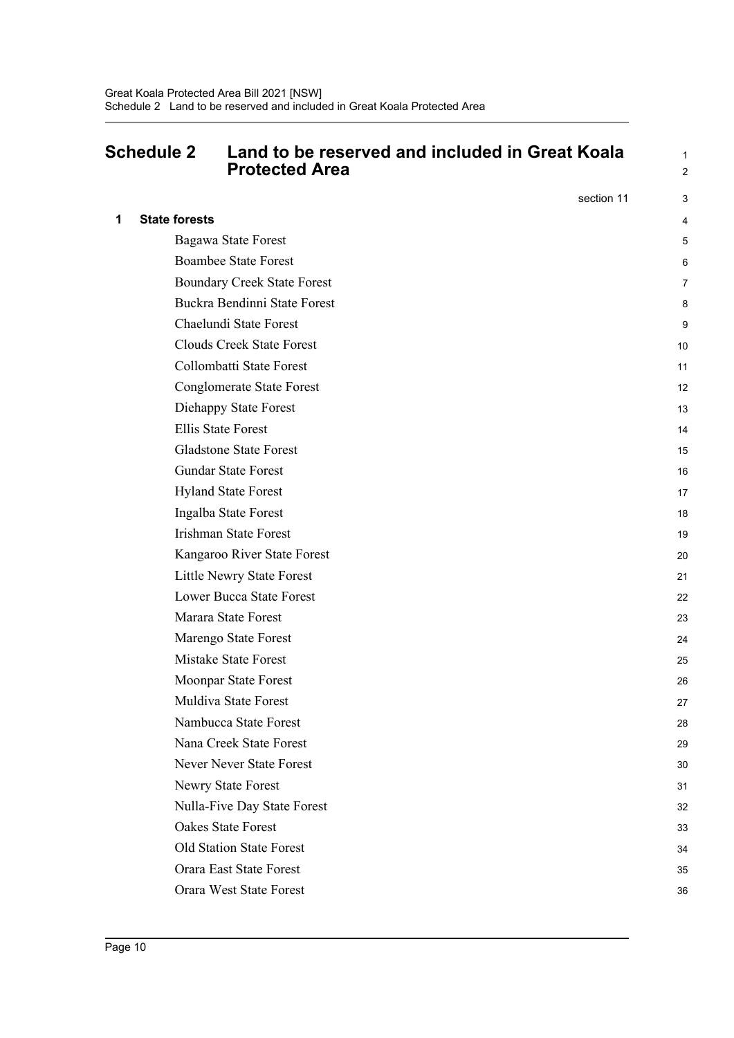#### <span id="page-15-0"></span>**Schedule 2 Land to be reserved and included in Great Koala Protected Area**

1 2

|   |                                    | section 11 | 3  |
|---|------------------------------------|------------|----|
| 1 | <b>State forests</b>               |            | 4  |
|   | Bagawa State Forest                |            | 5  |
|   | <b>Boambee State Forest</b>        |            | 6  |
|   | <b>Boundary Creek State Forest</b> |            | 7  |
|   | Buckra Bendinni State Forest       |            | 8  |
|   | Chaelundi State Forest             |            | 9  |
|   | <b>Clouds Creek State Forest</b>   |            | 10 |
|   | Collombatti State Forest           |            | 11 |
|   | <b>Conglomerate State Forest</b>   |            | 12 |
|   | Diehappy State Forest              |            | 13 |
|   | <b>Ellis State Forest</b>          |            | 14 |
|   | <b>Gladstone State Forest</b>      |            | 15 |
|   | <b>Gundar State Forest</b>         |            | 16 |
|   | <b>Hyland State Forest</b>         |            | 17 |
|   | Ingalba State Forest               |            | 18 |
|   | <b>Irishman State Forest</b>       |            | 19 |
|   | Kangaroo River State Forest        |            | 20 |
|   | Little Newry State Forest          |            | 21 |
|   | <b>Lower Bucca State Forest</b>    |            | 22 |
|   | Marara State Forest                |            | 23 |
|   | Marengo State Forest               |            | 24 |
|   | Mistake State Forest               |            | 25 |
|   | Moonpar State Forest               |            | 26 |
|   | Muldiva State Forest               |            | 27 |
|   | Nambucca State Forest              |            | 28 |
|   | Nana Creek State Forest            |            | 29 |
|   | Never Never State Forest           |            | 30 |
|   | Newry State Forest                 |            | 31 |
|   | Nulla-Five Day State Forest        |            | 32 |
|   | Oakes State Forest                 |            | 33 |
|   | Old Station State Forest           |            | 34 |
|   | Orara East State Forest            |            | 35 |
|   | <b>Orara West State Forest</b>     |            | 36 |